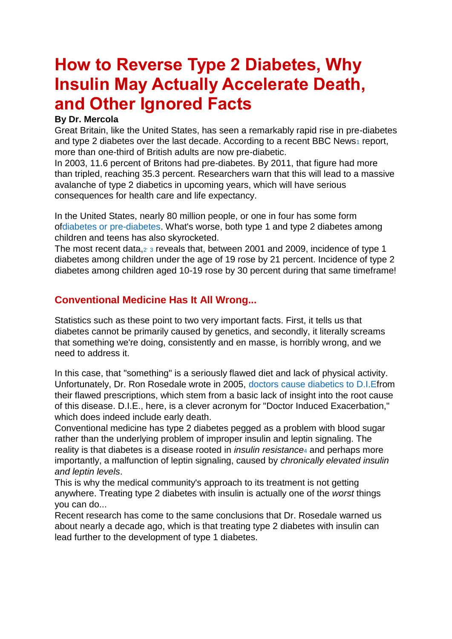# **How to Reverse Type 2 Diabetes, Why Insulin May Actually Accelerate Death, and Other Ignored Facts**

#### **By Dr. Mercola**

Great Britain, like the United States, has seen a remarkably rapid rise in pre-diabetes and type 2 diabetes over the last decade. According to a recent BBC News[1](http://articles.mercola.com/sites/articles/archive/2014/07/14/type-2-diabetes-insulin-leptin.aspx?e_cid=20140714Z1_DNL_art_1&utm_source=dnl&utm_medium=email&utm_content=art1&utm_campaign=20140714Z1&et_cid=DM52761&et_rid=584804489#_edn1) report, more than one-third of British adults are now pre-diabetic.

In 2003, 11.6 percent of Britons had pre-diabetes. By 2011, that figure had more than tripled, reaching 35.3 percent. Researchers warn that this will lead to a massive avalanche of type 2 diabetics in upcoming years, which will have serious consequences for health care and life expectancy.

In the United States, nearly 80 million people, or one in four has some form o[fdiabetes or pre-diabetes.](http://articles.mercola.com/sites/articles/archive/2008/07/19/diabetes-or-pre-diabetes-now-strikes-one-in-four-americans.aspx) What's worse, both type 1 and type 2 diabetes among children and teens has also skyrocketed.

The most recent data[,](http://articles.mercola.com/sites/articles/archive/2014/07/14/type-2-diabetes-insulin-leptin.aspx?e_cid=20140714Z1_DNL_art_1&utm_source=dnl&utm_medium=email&utm_content=art1&utm_campaign=20140714Z1&et_cid=DM52761&et_rid=584804489#_edn2) $2$  [3](http://articles.mercola.com/sites/articles/archive/2014/07/14/type-2-diabetes-insulin-leptin.aspx?e_cid=20140714Z1_DNL_art_1&utm_source=dnl&utm_medium=email&utm_content=art1&utm_campaign=20140714Z1&et_cid=DM52761&et_rid=584804489#_edn3) reveals that, between 2001 and 2009, incidence of type 1 diabetes among children under the age of 19 rose by 21 percent. Incidence of type 2 diabetes among children aged 10-19 rose by 30 percent during that same timeframe!

# **Conventional Medicine Has It All Wrong...**

Statistics such as these point to two very important facts. First, it tells us that diabetes cannot be primarily caused by genetics, and secondly, it literally screams that something we're doing, consistently and en masse, is horribly wrong, and we need to address it.

In this case, that "something" is a seriously flawed diet and lack of physical activity. Unfortunately, Dr. Ron Rosedale wrote in 2005, doctors cause [diabetics to D.I.Ef](http://articles.mercola.com/sites/articles/archive/2005/08/16/doctors-cause-diabetics-to-die.aspx)rom their flawed prescriptions, which stem from a basic lack of insight into the root cause of this disease. D.I.E., here, is a clever acronym for "Doctor Induced Exacerbation," which does indeed include early death.

Conventional medicine has type 2 diabetes pegged as a problem with blood sugar rather than the underlying problem of improper insulin and leptin signaling. The reality is that diabetes is a disease rooted in *insulin resistance*[4](http://articles.mercola.com/sites/articles/archive/2014/07/14/type-2-diabetes-insulin-leptin.aspx?e_cid=20140714Z1_DNL_art_1&utm_source=dnl&utm_medium=email&utm_content=art1&utm_campaign=20140714Z1&et_cid=DM52761&et_rid=584804489#_edn4) and perhaps more importantly, a malfunction of leptin signaling, caused by *chronically elevated insulin and leptin levels*.

This is why the medical community's approach to its treatment is not getting anywhere. Treating type 2 diabetes with insulin is actually one of the *worst* things you can do...

Recent research has come to the same conclusions that Dr. Rosedale warned us about nearly a decade ago, which is that treating type 2 diabetes with insulin can lead further to the development of type 1 diabetes.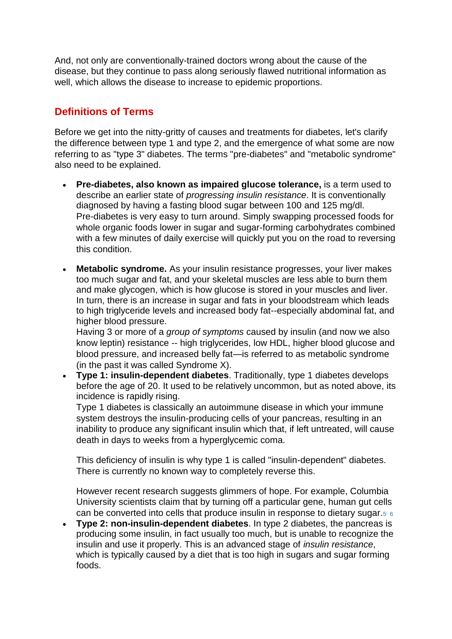And, not only are conventionally-trained doctors wrong about the cause of the disease, but they continue to pass along seriously flawed nutritional information as well, which allows the disease to increase to epidemic proportions.

# **Definitions of Terms**

Before we get into the nitty-gritty of causes and treatments for diabetes, let's clarify the difference between type 1 and type 2, and the emergence of what some are now referring to as "type 3" diabetes. The terms "pre-diabetes" and "metabolic syndrome" also need to be explained.

- **Pre-diabetes, also known as impaired glucose tolerance,** is a term used to describe an earlier state of *progressing insulin resistance*. It is conventionally diagnosed by having a fasting blood sugar between 100 and 125 mg/dl. Pre-diabetes is very easy to turn around. Simply swapping processed foods for whole organic foods lower in sugar and sugar-forming carbohydrates combined with a few minutes of daily exercise will quickly put you on the road to reversing this condition.
- **Metabolic syndrome.** As your insulin resistance progresses, your liver makes too much sugar and fat, and your skeletal muscles are less able to burn them and make glycogen, which is how glucose is stored in your muscles and liver. In turn, there is an increase in sugar and fats in your bloodstream which leads to high triglyceride levels and increased body fat--especially abdominal fat, and higher blood pressure.

Having 3 or more of a *group of symptoms* caused by insulin (and now we also know leptin) resistance -- high triglycerides, low HDL, higher blood glucose and blood pressure, and increased belly fat—is referred to as metabolic syndrome (in the past it was called Syndrome X).

 **Type 1: insulin-dependent diabetes**. Traditionally, type 1 diabetes develops before the age of 20. It used to be relatively uncommon, but as noted above, its incidence is rapidly rising.

Type 1 diabetes is classically an autoimmune disease in which your immune system destroys the insulin-producing cells of your pancreas, resulting in an inability to produce any significant insulin which that, if left untreated, will cause death in days to weeks from a hyperglycemic coma.

This deficiency of insulin is why type 1 is called "insulin-dependent" diabetes. There is currently no known way to completely reverse this.

However recent research suggests glimmers of hope. For example, Columbia University scientists claim that by turning off a particular gene, human gut cells can be converted into cells that produce insulin in response to dietary sugar.<sub>[5](http://articles.mercola.com/sites/articles/archive/2014/07/14/type-2-diabetes-insulin-leptin.aspx?e_cid=20140714Z1_DNL_art_1&utm_source=dnl&utm_medium=email&utm_content=art1&utm_campaign=20140714Z1&et_cid=DM52761&et_rid=584804489#_edn5)' [6](http://articles.mercola.com/sites/articles/archive/2014/07/14/type-2-diabetes-insulin-leptin.aspx?e_cid=20140714Z1_DNL_art_1&utm_source=dnl&utm_medium=email&utm_content=art1&utm_campaign=20140714Z1&et_cid=DM52761&et_rid=584804489#_edn6)</sub>

 **Type 2: non-insulin-dependent diabetes**. In type 2 diabetes, the pancreas is producing some insulin, in fact usually too much, but is unable to recognize the insulin and use it properly. This is an advanced stage of *insulin resistance*, which is typically caused by a diet that is too high in sugars and sugar forming foods.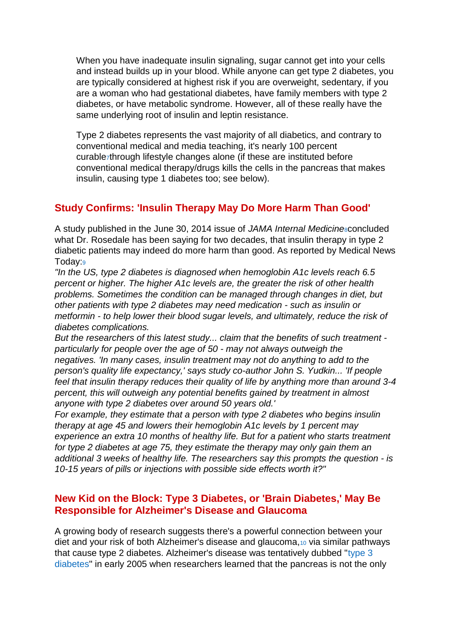When you have inadequate insulin signaling, sugar cannot get into your cells and instead builds up in your blood. While anyone can get type 2 diabetes, you are typically considered at highest risk if you are overweight, sedentary, if you are a woman who had gestational diabetes, have family members with type 2 diabetes, or have metabolic syndrome. However, all of these really have the same underlying root of insulin and leptin resistance.

Type 2 diabetes represents the vast majority of all diabetics, and contrary to conventional medical and media teaching, it's nearly 100 percent curable[7](http://articles.mercola.com/sites/articles/archive/2014/07/14/type-2-diabetes-insulin-leptin.aspx?e_cid=20140714Z1_DNL_art_1&utm_source=dnl&utm_medium=email&utm_content=art1&utm_campaign=20140714Z1&et_cid=DM52761&et_rid=584804489#_edn7)through lifestyle changes alone (if these are instituted before conventional medical therapy/drugs kills the cells in the pancreas that makes insulin, causing type 1 diabetes too; see below).

# **Study Confirms: 'Insulin Therapy May Do More Harm Than Good'**

A study published in the June 30, 2014 issue of *JAMA Internal Medicine*<sup>[8](http://articles.mercola.com/sites/articles/archive/2014/07/14/type-2-diabetes-insulin-leptin.aspx?e_cid=20140714Z1_DNL_art_1&utm_source=dnl&utm_medium=email&utm_content=art1&utm_campaign=20140714Z1&et_cid=DM52761&et_rid=584804489#_edn8)</sup> concluded what Dr. Rosedale has been saying for two decades, that insulin therapy in type 2 diabetic patients may indeed do more harm than good. As reported by Medical News Today[:](http://articles.mercola.com/sites/articles/archive/2014/07/14/type-2-diabetes-insulin-leptin.aspx?e_cid=20140714Z1_DNL_art_1&utm_source=dnl&utm_medium=email&utm_content=art1&utm_campaign=20140714Z1&et_cid=DM52761&et_rid=584804489#_edn9)<sup>9</sup>

*"In the US, type 2 diabetes is diagnosed when hemoglobin A1c levels reach 6.5 percent or higher. The higher A1c levels are, the greater the risk of other health problems. Sometimes the condition can be managed through changes in diet, but other patients with type 2 diabetes may need medication - such as insulin or metformin - to help lower their blood sugar levels, and ultimately, reduce the risk of diabetes complications.*

*But the researchers of this latest study... claim that the benefits of such treatment particularly for people over the age of 50 - may not always outweigh the negatives. 'In many cases, insulin treatment may not do anything to add to the person's quality life expectancy,' says study co-author John S. Yudkin... 'If people feel that insulin therapy reduces their quality of life by anything more than around 3-4 percent, this will outweigh any potential benefits gained by treatment in almost anyone with type 2 diabetes over around 50 years old.'*

*For example, they estimate that a person with type 2 diabetes who begins insulin therapy at age 45 and lowers their hemoglobin A1c levels by 1 percent may experience an extra 10 months of healthy life. But for a patient who starts treatment for type 2 diabetes at age 75, they estimate the therapy may only gain them an additional 3 weeks of healthy life. The researchers say this prompts the question - is 10-15 years of pills or injections with possible side effects worth it?"*

#### **New Kid on the Block: Type 3 Diabetes, or 'Brain Diabetes,' May Be Responsible for Alzheimer's Disease and Glaucoma**

A growing body of research suggests there's a powerful connection between your diet and your risk of both Alzheimer's disease and glaucoma,[10](http://articles.mercola.com/sites/articles/archive/2014/07/14/type-2-diabetes-insulin-leptin.aspx?e_cid=20140714Z1_DNL_art_1&utm_source=dnl&utm_medium=email&utm_content=art1&utm_campaign=20140714Z1&et_cid=DM52761&et_rid=584804489#_edn10) via similar pathways that cause type 2 diabetes. Alzheimer's disease was tentatively dubbed ["type 3](http://articles.mercola.com/sites/articles/archive/2012/09/24/poor-diet-causes-alzheimers-disease.aspx)  [diabetes"](http://articles.mercola.com/sites/articles/archive/2012/09/24/poor-diet-causes-alzheimers-disease.aspx) in early 2005 when researchers learned that the pancreas is not the only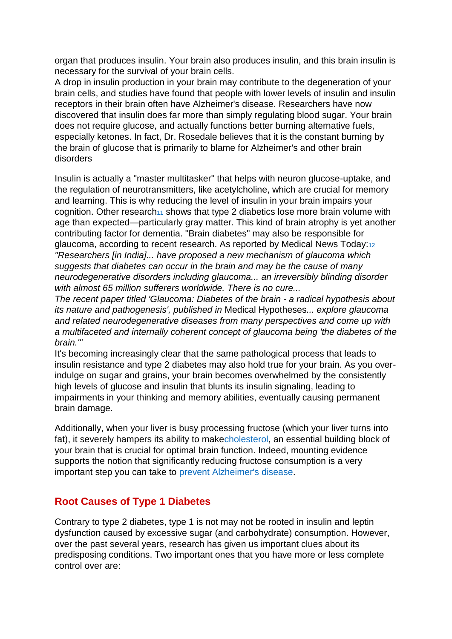organ that produces insulin. Your brain also produces insulin, and this brain insulin is necessary for the survival of your brain cells.

A drop in insulin production in your brain may contribute to the degeneration of your brain cells, and studies have found that people with lower levels of insulin and insulin receptors in their brain often have Alzheimer's disease. Researchers have now discovered that insulin does far more than simply regulating blood sugar. Your brain does not require glucose, and actually functions better burning alternative fuels, especially ketones. In fact, Dr. Rosedale believes that it is the constant burning by the brain of glucose that is primarily to blame for Alzheimer's and other brain disorders

Insulin is actually a "master multitasker" that helps with neuron glucose-uptake, and the regulation of neurotransmitters, like acetylcholine, which are crucial for memory and learning. This is why reducing the level of insulin in your brain impairs your cognition. Other research<sub>[11](http://articles.mercola.com/sites/articles/archive/2014/07/14/type-2-diabetes-insulin-leptin.aspx?e_cid=20140714Z1_DNL_art_1&utm_source=dnl&utm_medium=email&utm_content=art1&utm_campaign=20140714Z1&et_cid=DM52761&et_rid=584804489#_edn11)</sub> shows that type 2 diabetics lose more brain volume with age than expected—particularly gray matter. This kind of brain atrophy is yet another contributing factor for dementia. "Brain diabetes" may also be responsible for glaucoma, according to recent research. As reported by Medical News Today:[12](http://articles.mercola.com/sites/articles/archive/2014/07/14/type-2-diabetes-insulin-leptin.aspx?e_cid=20140714Z1_DNL_art_1&utm_source=dnl&utm_medium=email&utm_content=art1&utm_campaign=20140714Z1&et_cid=DM52761&et_rid=584804489#_edn12) *"Researchers [in India]... have proposed a new mechanism of glaucoma which suggests that diabetes can occur in the brain and may be the cause of many neurodegenerative disorders including glaucoma... an irreversibly blinding disorder with almost 65 million sufferers worldwide. There is no cure...*

*The recent paper titled 'Glaucoma: Diabetes of the brain - a radical hypothesis about its nature and pathogenesis', published in* Medical Hypotheses*... explore glaucoma and related neurodegenerative diseases from many perspectives and come up with a multifaceted and internally coherent concept of glaucoma being 'the diabetes of the brain.'"*

It's becoming increasingly clear that the same pathological process that leads to insulin resistance and type 2 diabetes may also hold true for your brain. As you overindulge on sugar and grains, your brain becomes overwhelmed by the consistently high levels of glucose and insulin that blunts its insulin signaling, leading to impairments in your thinking and memory abilities, eventually causing permanent brain damage.

Additionally, when your liver is busy processing fructose (which your liver turns into fat), it severely hampers its ability to mak[echolesterol,](http://articles.mercola.com/sites/articles/archive/2011/10/15/dr-stephanie-seneff-on-cholesterol.aspx) an essential building block of your brain that is crucial for optimal brain function. Indeed, mounting evidence supports the notion that significantly reducing fructose consumption is a very important step you can take to [prevent Alzheimer's disease.](http://articles.mercola.com/sites/articles/archive/2013/09/29/dr-perlmutter-gluten.aspx)

# **Root Causes of Type 1 Diabetes**

Contrary to type 2 diabetes, type 1 is not may not be rooted in insulin and leptin dysfunction caused by excessive sugar (and carbohydrate) consumption. However, over the past several years, research has given us important clues about its predisposing conditions. Two important ones that you have more or less complete control over are: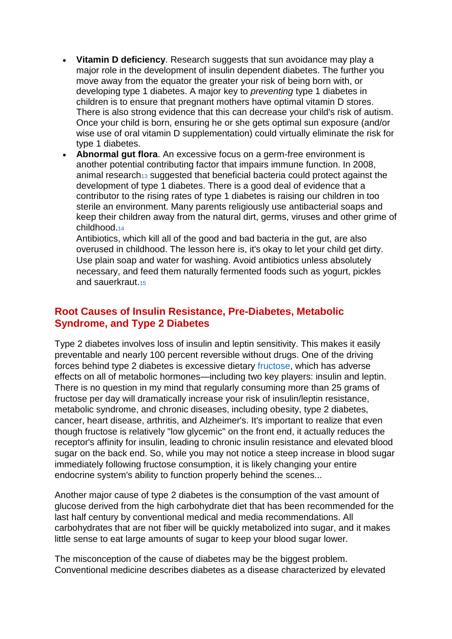- **Vitamin D deficiency**. Research suggests that sun avoidance may play a major role in the development of insulin dependent diabetes. The further you move away from the equator the greater your risk of being born with, or developing type 1 diabetes. A major key to *preventing* type 1 diabetes in children is to ensure that pregnant mothers have optimal vitamin D stores. There is also strong evidence that this can decrease your child's risk of autism. Once your child is born, ensuring he or she gets optimal sun exposure (and/or wise use of oral vitamin D supplementation) could virtually eliminate the risk for type 1 diabetes.
- **Abnormal gut flora**. An excessive focus on a germ-free environment is another potential contributing factor that impairs immune function. In 2008, animal research<sub>[13](http://articles.mercola.com/sites/articles/archive/2014/07/14/type-2-diabetes-insulin-leptin.aspx?e_cid=20140714Z1_DNL_art_1&utm_source=dnl&utm_medium=email&utm_content=art1&utm_campaign=20140714Z1&et_cid=DM52761&et_rid=584804489#_edn13)</sub> suggested that beneficial bacteria could protect against the development of type 1 diabetes. There is a good deal of evidence that a contributor to the rising rates of type 1 diabetes is raising our children in too sterile an environment. Many parents religiously use antibacterial soaps and keep their children away from the natural dirt, germs, viruses and other grime of childhood.[14](http://articles.mercola.com/sites/articles/archive/2014/07/14/type-2-diabetes-insulin-leptin.aspx?e_cid=20140714Z1_DNL_art_1&utm_source=dnl&utm_medium=email&utm_content=art1&utm_campaign=20140714Z1&et_cid=DM52761&et_rid=584804489#_edn14)

Antibiotics, which kill all of the good and bad bacteria in the gut, are also overused in childhood. The lesson here is, it's okay to let your child get dirty. Use plain soap and water for washing. Avoid antibiotics unless absolutely necessary, and feed them naturally fermented foods such as yogurt, pickles and sauerkraut [15](http://articles.mercola.com/sites/articles/archive/2014/07/14/type-2-diabetes-insulin-leptin.aspx?e_cid=20140714Z1_DNL_art_1&utm_source=dnl&utm_medium=email&utm_content=art1&utm_campaign=20140714Z1&et_cid=DM52761&et_rid=584804489#_edn15)

#### **Root Causes of Insulin Resistance, Pre-Diabetes, Metabolic Syndrome, and Type 2 Diabetes**

Type 2 diabetes involves loss of insulin and leptin sensitivity. This makes it easily preventable and nearly 100 percent reversible without drugs. One of the driving forces behind type 2 diabetes is excessive dietary [fructose,](http://articles.mercola.com/sites/articles/archive/2009/03/24/why-highfructose-corn-syrup-causes-insulin-resistance.aspx) which has adverse effects on all of metabolic hormones—including two key players: insulin and leptin. There is no question in my mind that regularly consuming more than 25 grams of fructose per day will dramatically increase your risk of insulin/leptin resistance, metabolic syndrome, and chronic diseases, including obesity, type 2 diabetes, cancer, heart disease, arthritis, and Alzheimer's. It's important to realize that even though fructose is relatively "low glycemic" on the front end, it actually reduces the receptor's affinity for insulin, leading to chronic insulin resistance and elevated blood sugar on the back end. So, while you may not notice a steep increase in blood sugar immediately following fructose consumption, it is likely changing your entire endocrine system's ability to function properly behind the scenes...

Another major cause of type 2 diabetes is the consumption of the vast amount of glucose derived from the high carbohydrate diet that has been recommended for the last half century by conventional medical and media recommendations. All carbohydrates that are not fiber will be quickly metabolized into sugar, and it makes little sense to eat large amounts of sugar to keep your blood sugar lower.

The misconception of the cause of diabetes may be the biggest problem. Conventional medicine describes diabetes as a disease characterized by elevated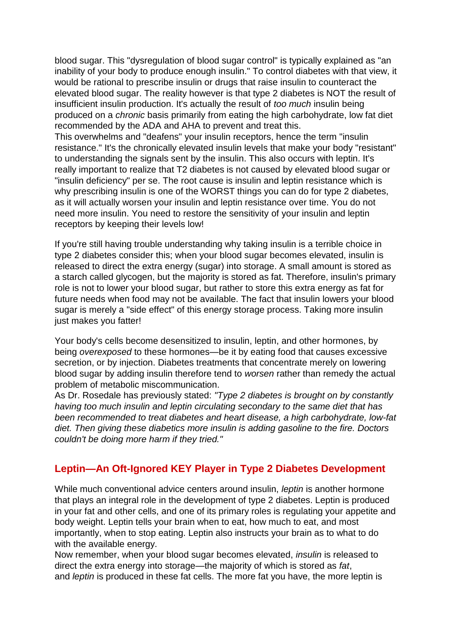blood sugar. This "dysregulation of blood sugar control" is typically explained as "an inability of your body to produce enough insulin." To control diabetes with that view, it would be rational to prescribe insulin or drugs that raise insulin to counteract the elevated blood sugar. The reality however is that type 2 diabetes is NOT the result of insufficient insulin production. It's actually the result of *too much* insulin being produced on a *chronic* basis primarily from eating the high carbohydrate, low fat diet recommended by the ADA and AHA to prevent and treat this.

This overwhelms and "deafens" your insulin receptors, hence the term "insulin resistance." It's the chronically elevated insulin levels that make your body "resistant" to understanding the signals sent by the insulin. This also occurs with leptin. It's really important to realize that T2 diabetes is not caused by elevated blood sugar or "insulin deficiency" per se. The root cause is insulin and leptin resistance which is why prescribing insulin is one of the WORST things you can do for type 2 diabetes, as it will actually worsen your insulin and leptin resistance over time. You do not need more insulin. You need to restore the sensitivity of your insulin and leptin receptors by keeping their levels low!

If you're still having trouble understanding why taking insulin is a terrible choice in type 2 diabetes consider this; when your blood sugar becomes elevated, insulin is released to direct the extra energy (sugar) into storage. A small amount is stored as a starch called glycogen, but the majority is stored as fat. Therefore, insulin's primary role is not to lower your blood sugar, but rather to store this extra energy as fat for future needs when food may not be available. The fact that insulin lowers your blood sugar is merely a "side effect" of this energy storage process. Taking more insulin just makes you fatter!

Your body's cells become desensitized to insulin, leptin, and other hormones, by being *overexposed* to these hormones—be it by eating food that causes excessive secretion, or by injection. Diabetes treatments that concentrate merely on lowering blood sugar by adding insulin therefore tend to *worsen* rather than remedy the actual problem of metabolic miscommunication.

As Dr. Rosedale has previously stated: *"Type 2 diabetes is brought on by constantly having too much insulin and leptin circulating secondary to the same diet that has been recommended to treat diabetes and heart disease, a high carbohydrate, low-fat diet. Then giving these diabetics more insulin is adding gasoline to the fire. Doctors couldn't be doing more harm if they tried."*

#### **Leptin—An Oft-Ignored KEY Player in Type 2 Diabetes Development**

While much conventional advice centers around insulin, *leptin* is another hormone that plays an integral role in the development of type 2 diabetes. Leptin is produced in your fat and other cells, and one of its primary roles is regulating your appetite and body weight. Leptin tells your brain when to eat, how much to eat, and most importantly, when to stop eating. Leptin also instructs your brain as to what to do with the available energy.

Now remember, when your blood sugar becomes elevated, *insulin* is released to direct the extra energy into storage—the majority of which is stored as *fat*, and *leptin* is produced in these fat cells. The more fat you have, the more leptin is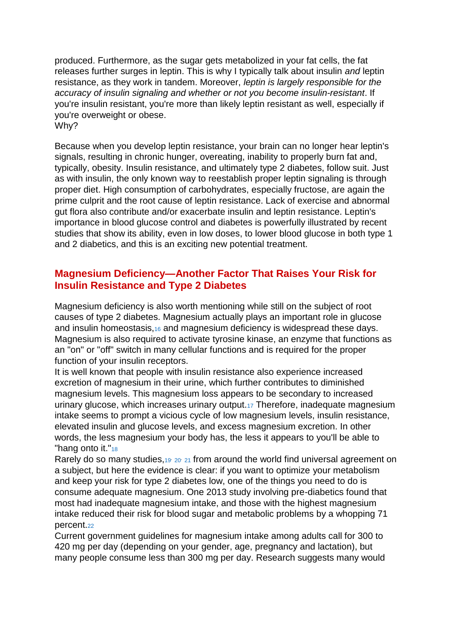produced. Furthermore, as the sugar gets metabolized in your fat cells, the fat releases further surges in leptin. This is why I typically talk about insulin *and* leptin resistance, as they work in tandem. Moreover, *leptin is largely responsible for the accuracy of insulin signaling and whether or not you become insulin-resistant*. If you're insulin resistant, you're more than likely leptin resistant as well, especially if you're overweight or obese. Why?

Because when you develop leptin resistance, your brain can no longer hear leptin's signals, resulting in chronic hunger, overeating, inability to properly burn fat and, typically, obesity. Insulin resistance, and ultimately type 2 diabetes, follow suit. Just as with insulin, the only known way to reestablish proper leptin signaling is through proper diet. High consumption of carbohydrates, especially fructose, are again the prime culprit and the root cause of leptin resistance. Lack of exercise and abnormal gut flora also contribute and/or exacerbate insulin and leptin resistance. Leptin's importance in blood glucose control and diabetes is powerfully illustrated by recent studies that show its ability, even in low doses, to lower blood glucose in both type 1 and 2 diabetics, and this is an exciting new potential treatment.

# **Magnesium Deficiency—Another Factor That Raises Your Risk for Insulin Resistance and Type 2 Diabetes**

Magnesium deficiency is also worth mentioning while still on the subject of root causes of type 2 diabetes. Magnesium actually plays an important role in glucose and insulin homeostasis,<sub>[16](http://articles.mercola.com/sites/articles/archive/2014/07/14/type-2-diabetes-insulin-leptin.aspx?e_cid=20140714Z1_DNL_art_1&utm_source=dnl&utm_medium=email&utm_content=art1&utm_campaign=20140714Z1&et_cid=DM52761&et_rid=584804489#_edn16)</sub> and magnesium deficiency is widespread these days. Magnesium is also required to activate tyrosine kinase, an enzyme that functions as an "on" or "off" switch in many cellular functions and is required for the proper function of your insulin receptors.

It is well known that people with insulin resistance also experience increased excretion of magnesium in their urine, which further contributes to diminished magnesium levels. This magnesium loss appears to be secondary to increased urinary glucose, which increases urinary output.[17](http://articles.mercola.com/sites/articles/archive/2014/07/14/type-2-diabetes-insulin-leptin.aspx?e_cid=20140714Z1_DNL_art_1&utm_source=dnl&utm_medium=email&utm_content=art1&utm_campaign=20140714Z1&et_cid=DM52761&et_rid=584804489#_edn17) Therefore, inadequate magnesium intake seems to prompt a vicious cycle of low magnesium levels, insulin resistance, elevated insulin and glucose levels, and excess magnesium excretion. In other words, the less magnesium your body has, the less it appears to you'll be able to "hang onto it."<sup>[18](http://articles.mercola.com/sites/articles/archive/2014/07/14/type-2-diabetes-insulin-leptin.aspx?e_cid=20140714Z1_DNL_art_1&utm_source=dnl&utm_medium=email&utm_content=art1&utm_campaign=20140714Z1&et_cid=DM52761&et_rid=584804489#_edn18)</sup>

Rarely do so many studies, [19](http://articles.mercola.com/sites/articles/archive/2014/07/14/type-2-diabetes-insulin-leptin.aspx?e_cid=20140714Z1_DNL_art_1&utm_source=dnl&utm_medium=email&utm_content=art1&utm_campaign=20140714Z1&et_cid=DM52761&et_rid=584804489#_edn19) [20](http://articles.mercola.com/sites/articles/archive/2014/07/14/type-2-diabetes-insulin-leptin.aspx?e_cid=20140714Z1_DNL_art_1&utm_source=dnl&utm_medium=email&utm_content=art1&utm_campaign=20140714Z1&et_cid=DM52761&et_rid=584804489#_edn20) [21](http://articles.mercola.com/sites/articles/archive/2014/07/14/type-2-diabetes-insulin-leptin.aspx?e_cid=20140714Z1_DNL_art_1&utm_source=dnl&utm_medium=email&utm_content=art1&utm_campaign=20140714Z1&et_cid=DM52761&et_rid=584804489#_edn21) from around the world find universal agreement on a subject, but here the evidence is clear: if you want to optimize your metabolism and keep your risk for type 2 diabetes low, one of the things you need to do is consume adequate magnesium. One 2013 study involving pre-diabetics found that most had inadequate magnesium intake, and those with the highest magnesium intake reduced their risk for blood sugar and metabolic problems by a whopping 71 percent.[22](http://articles.mercola.com/sites/articles/archive/2014/07/14/type-2-diabetes-insulin-leptin.aspx?e_cid=20140714Z1_DNL_art_1&utm_source=dnl&utm_medium=email&utm_content=art1&utm_campaign=20140714Z1&et_cid=DM52761&et_rid=584804489#_edn22)

Current government guidelines for magnesium intake among adults call for 300 to 420 mg per day (depending on your gender, age, pregnancy and lactation), but many people consume less than 300 mg per day. Research suggests many would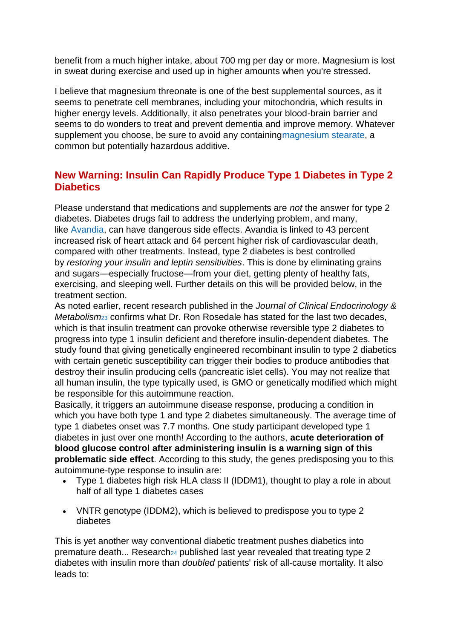benefit from a much higher intake, about 700 mg per day or more. Magnesium is lost in sweat during exercise and used up in higher amounts when you're stressed.

I believe that magnesium threonate is one of the best supplemental sources, as it seems to penetrate cell membranes, including your mitochondria, which results in higher energy levels. Additionally, it also penetrates your blood-brain barrier and seems to do wonders to treat and prevent dementia and improve memory. Whatever supplement you choose, be sure to avoid any containing magnesium stearate, a common but potentially hazardous additive.

# **New Warning: Insulin Can Rapidly Produce Type 1 Diabetes in Type 2 Diabetics**

Please understand that medications and supplements are *not* the answer for type 2 diabetes. Diabetes drugs fail to address the underlying problem, and many, like [Avandia,](http://articles.mercola.com/sites/articles/archive/2010/10/11/fda-curbs-avandia-diabetes-drug-use.aspx) can have dangerous side effects. Avandia is linked to 43 percent increased risk of heart attack and 64 percent higher risk of cardiovascular death, compared with other treatments. Instead, type 2 diabetes is best controlled by *restoring your insulin and leptin sensitivities*. This is done by eliminating grains and sugars—especially fructose—from your diet, getting plenty of healthy fats, exercising, and sleeping well. Further details on this will be provided below, in the treatment section.

As noted earlier, recent research published in the *Journal of Clinical Endocrinology & Metabolism*[23](http://articles.mercola.com/sites/articles/archive/2014/07/14/type-2-diabetes-insulin-leptin.aspx?e_cid=20140714Z1_DNL_art_1&utm_source=dnl&utm_medium=email&utm_content=art1&utm_campaign=20140714Z1&et_cid=DM52761&et_rid=584804489#_edn23) confirms what Dr. Ron Rosedale has stated for the last two decades, which is that insulin treatment can provoke otherwise reversible type 2 diabetes to progress into type 1 insulin deficient and therefore insulin-dependent diabetes. The study found that giving genetically engineered recombinant insulin to type 2 diabetics with certain genetic susceptibility can trigger their bodies to produce antibodies that destroy their insulin producing cells (pancreatic islet cells). You may not realize that all human insulin, the type typically used, is GMO or genetically modified which might be responsible for this autoimmune reaction.

Basically, it triggers an autoimmune disease response, producing a condition in which you have both type 1 and type 2 diabetes simultaneously. The average time of type 1 diabetes onset was 7.7 months. One study participant developed type 1 diabetes in just over one month! According to the authors, **acute deterioration of blood glucose control after administering insulin is a warning sign of this problematic side effect**. According to this study, the genes predisposing you to this autoimmune-type response to insulin are:

- Type 1 diabetes high risk HLA class II (IDDM1), thought to play a role in about half of all type 1 diabetes cases
- VNTR genotype (IDDM2), which is believed to predispose you to type 2 diabetes

This is yet another way conventional diabetic treatment pushes diabetics into premature death... Research<sub>[24](http://articles.mercola.com/sites/articles/archive/2014/07/14/type-2-diabetes-insulin-leptin.aspx?e_cid=20140714Z1_DNL_art_1&utm_source=dnl&utm_medium=email&utm_content=art1&utm_campaign=20140714Z1&et_cid=DM52761&et_rid=584804489#_edn24)</sub> published last year revealed that treating type 2 diabetes with insulin more than *doubled* patients' risk of all-cause mortality. It also leads to: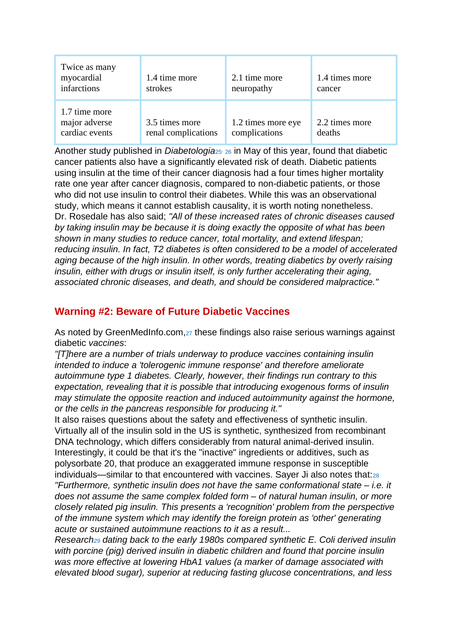| Twice as many<br>myocardial<br>infarctions       | 1.4 time more<br>strokes              | 2.1 time more<br>neuropathy         | 1.4 times more<br>cancer |
|--------------------------------------------------|---------------------------------------|-------------------------------------|--------------------------|
| 1.7 time more<br>major adverse<br>cardiac events | 3.5 times more<br>renal complications | 1.2 times more eye<br>complications | 2.2 times more<br>deaths |

Another study published in *Diabetologia*<sup>[25](http://articles.mercola.com/sites/articles/archive/2014/07/14/type-2-diabetes-insulin-leptin.aspx?e_cid=20140714Z1_DNL_art_1&utm_source=dnl&utm_medium=email&utm_content=art1&utm_campaign=20140714Z1&et_cid=DM52761&et_rid=584804489#_edn25)</sup> [26](http://articles.mercola.com/sites/articles/archive/2014/07/14/type-2-diabetes-insulin-leptin.aspx?e_cid=20140714Z1_DNL_art_1&utm_source=dnl&utm_medium=email&utm_content=art1&utm_campaign=20140714Z1&et_cid=DM52761&et_rid=584804489#_edn26) in May of this year, found that diabetic cancer patients also have a significantly elevated risk of death. Diabetic patients using insulin at the time of their cancer diagnosis had a four times higher mortality rate one year after cancer diagnosis, compared to non-diabetic patients, or those who did not use insulin to control their diabetes. While this was an observational study, which means it cannot establish causality, it is worth noting nonetheless. Dr. Rosedale has also said; *"All of these increased rates of chronic diseases caused by taking insulin may be because it is doing exactly the opposite of what has been shown in many studies to reduce cancer, total mortality, and extend lifespan; reducing insulin. In fact, T2 diabetes is often considered to be a model of accelerated aging because of the high insulin. In other words, treating diabetics by overly raising insulin, either with drugs or insulin itself, is only further accelerating their aging, associated chronic diseases, and death, and should be considered malpractice."*

# **Warning #2: Beware of Future Diabetic Vaccines**

As noted by GreenMedInfo.com, [27](http://articles.mercola.com/sites/articles/archive/2014/07/14/type-2-diabetes-insulin-leptin.aspx?e_cid=20140714Z1_DNL_art_1&utm_source=dnl&utm_medium=email&utm_content=art1&utm_campaign=20140714Z1&et_cid=DM52761&et_rid=584804489#_edn27) these findings also raise serious warnings against diabetic *vaccines*:

*"[T]here are a number of trials underway to produce vaccines containing insulin intended to induce a 'tolerogenic immune response' and therefore ameliorate autoimmune type 1 diabetes. Clearly, however, their findings run contrary to this expectation, revealing that it is possible that introducing exogenous forms of insulin may stimulate the opposite reaction and induced autoimmunity against the hormone, or the cells in the pancreas responsible for producing it."*

It also raises questions about the safety and effectiveness of synthetic insulin. Virtually all of the insulin sold in the US is synthetic, synthesized from recombinant DNA technology, which differs considerably from natural animal-derived insulin. Interestingly, it could be that it's the "inactive" ingredients or additives, such as polysorbate 20, that produce an exaggerated immune response in susceptible individuals—similar to that encountered with vaccines. Sayer Ji also notes that:[28](http://articles.mercola.com/sites/articles/archive/2014/07/14/type-2-diabetes-insulin-leptin.aspx?e_cid=20140714Z1_DNL_art_1&utm_source=dnl&utm_medium=email&utm_content=art1&utm_campaign=20140714Z1&et_cid=DM52761&et_rid=584804489#_edn28) *"Furthermore, synthetic insulin does not have the same conformational state – i.e. it does not assume the same complex folded form – of natural human insulin, or more closely related pig insulin. This presents a 'recognition' problem from the perspective of the immune system which may identify the foreign protein as 'other' generating acute or sustained autoimmune reactions to it as a result...*

*Research[29](http://articles.mercola.com/sites/articles/archive/2014/07/14/type-2-diabetes-insulin-leptin.aspx?e_cid=20140714Z1_DNL_art_1&utm_source=dnl&utm_medium=email&utm_content=art1&utm_campaign=20140714Z1&et_cid=DM52761&et_rid=584804489#_edn29) dating back to the early 1980s compared synthetic E. Coli derived insulin with porcine (pig) derived insulin in diabetic children and found that porcine insulin was more effective at lowering HbA1 values (a marker of damage associated with elevated blood sugar), superior at reducing fasting glucose concentrations, and less*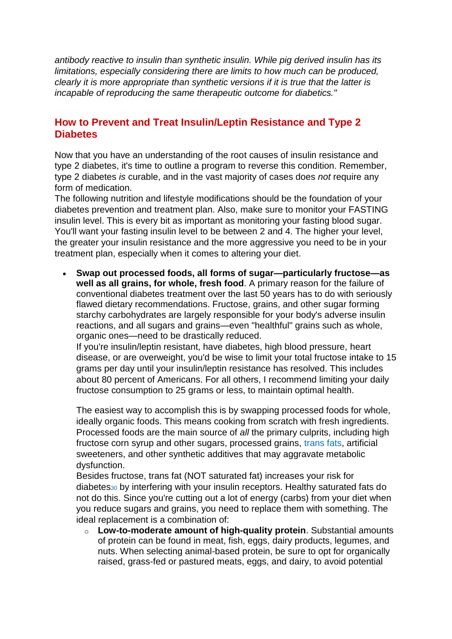*antibody reactive to insulin than synthetic insulin. While pig derived insulin has its limitations, especially considering there are limits to how much can be produced, clearly it is more appropriate than synthetic versions if it is true that the latter is incapable of reproducing the same therapeutic outcome for diabetics."*

#### **How to Prevent and Treat Insulin/Leptin Resistance and Type 2 Diabetes**

Now that you have an understanding of the root causes of insulin resistance and type 2 diabetes, it's time to outline a program to reverse this condition. Remember, type 2 diabetes *is* curable, and in the vast majority of cases does *not* require any form of medication.

The following nutrition and lifestyle modifications should be the foundation of your diabetes prevention and treatment plan. Also, make sure to monitor your FASTING insulin level. This is every bit as important as monitoring your fasting blood sugar. You'll want your fasting insulin level to be between 2 and 4. The higher your level, the greater your insulin resistance and the more aggressive you need to be in your treatment plan, especially when it comes to altering your diet.

 **Swap out processed foods, all forms of sugar—particularly fructose—as well as all grains, for whole, fresh food**. A primary reason for the failure of conventional diabetes treatment over the last 50 years has to do with seriously flawed dietary recommendations. Fructose, grains, and other sugar forming starchy carbohydrates are largely responsible for your body's adverse insulin reactions, and all sugars and grains—even "healthful" grains such as whole, organic ones—need to be drastically reduced.

If you're insulin/leptin resistant, have diabetes, high blood pressure, heart disease, or are overweight, you'd be wise to limit your total fructose intake to 15 grams per day until your insulin/leptin resistance has resolved. This includes about 80 percent of Americans. For all others, I recommend limiting your daily fructose consumption to 25 grams or less, to maintain optimal health.

The easiest way to accomplish this is by swapping processed foods for whole, ideally organic foods. This means cooking from scratch with fresh ingredients. Processed foods are the main source of *all* the primary culprits, including high fructose corn syrup and other sugars, processed grains, [trans fats,](http://articles.mercola.com/sites/articles/archive/2013/11/20/trans-fats-hydrogenated-oil.aspx) artificial sweeteners, and other synthetic additives that may aggravate metabolic dysfunction.

Besides fructose, trans fat (NOT saturated fat) increases your risk for diabetes[30](http://articles.mercola.com/sites/articles/archive/2014/07/14/type-2-diabetes-insulin-leptin.aspx?e_cid=20140714Z1_DNL_art_1&utm_source=dnl&utm_medium=email&utm_content=art1&utm_campaign=20140714Z1&et_cid=DM52761&et_rid=584804489#_edn30) by interfering with your insulin receptors. Healthy saturated fats do not do this. Since you're cutting out a lot of energy (carbs) from your diet when you reduce sugars and grains, you need to replace them with something. The ideal replacement is a combination of:

o **Low-to-moderate amount of high-quality protein**. Substantial amounts of protein can be found in meat, fish, eggs, dairy products, legumes, and nuts. When selecting animal-based protein, be sure to opt for organically raised, grass-fed or pastured meats, eggs, and dairy, to avoid potential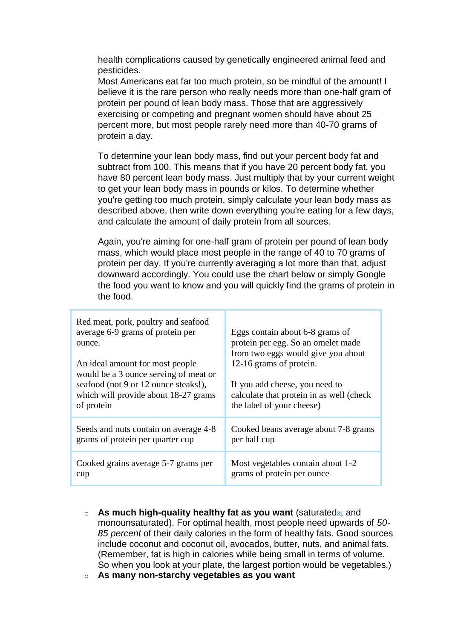health complications caused by genetically engineered animal feed and pesticides.

Most Americans eat far too much protein, so be mindful of the amount! I believe it is the rare person who really needs more than one-half gram of protein per pound of lean body mass. Those that are aggressively exercising or competing and pregnant women should have about 25 percent more, but most people rarely need more than 40-70 grams of protein a day.

To determine your lean body mass, find out your percent body fat and subtract from 100. This means that if you have 20 percent body fat, you have 80 percent lean body mass. Just multiply that by your current weight to get your lean body mass in pounds or kilos. To determine whether you're getting too much protein, simply calculate your lean body mass as described above, then write down everything you're eating for a few days, and calculate the amount of daily protein from all sources.

Again, you're aiming for one-half gram of protein per pound of lean body mass, which would place most people in the range of 40 to 70 grams of protein per day. If you're currently averaging a lot more than that, adjust downward accordingly. You could use the chart below or simply Google the food you want to know and you will quickly find the grams of protein in the food.

| Red meat, pork, poultry and seafood<br>average 6-9 grams of protein per<br>ounce.<br>An ideal amount for most people<br>would be a 3 ounce serving of meat or<br>seafood (not 9 or 12 ounce steaks!),<br>which will provide about 18-27 grams<br>of protein | Eggs contain about 6-8 grams of<br>protein per egg. So an omelet made<br>from two eggs would give you about<br>12-16 grams of protein.<br>If you add cheese, you need to<br>calculate that protein in as well (check)<br>the label of your cheese) |
|-------------------------------------------------------------------------------------------------------------------------------------------------------------------------------------------------------------------------------------------------------------|----------------------------------------------------------------------------------------------------------------------------------------------------------------------------------------------------------------------------------------------------|
| Seeds and nuts contain on average 4-8                                                                                                                                                                                                                       | Cooked beans average about 7-8 grams                                                                                                                                                                                                               |
| grams of protein per quarter cup                                                                                                                                                                                                                            | per half cup                                                                                                                                                                                                                                       |
| Cooked grains average 5-7 grams per                                                                                                                                                                                                                         | Most vegetables contain about 1-2                                                                                                                                                                                                                  |
| cup                                                                                                                                                                                                                                                         | grams of protein per ounce                                                                                                                                                                                                                         |

- o **As much high-quality healthy fat as you want** (saturated[31](http://articles.mercola.com/sites/articles/archive/2014/07/14/type-2-diabetes-insulin-leptin.aspx?e_cid=20140714Z1_DNL_art_1&utm_source=dnl&utm_medium=email&utm_content=art1&utm_campaign=20140714Z1&et_cid=DM52761&et_rid=584804489#_edn31) and monounsaturated). For optimal health, most people need upwards of *50- 85 percent* of their daily calories in the form of healthy fats. Good sources include coconut and coconut oil, avocados, butter, nuts, and animal fats. (Remember, fat is high in calories while being small in terms of volume. So when you look at your plate, the largest portion would be vegetables.)
- o **As many non-starchy vegetables as you want**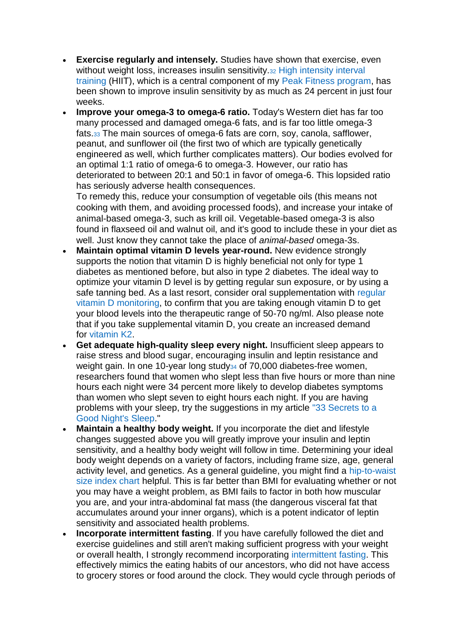- **Exercise regularly and intensely.** Studies have shown that exercise, even without weight loss, increases insulin sensitivity.<sup>[32](http://articles.mercola.com/sites/articles/archive/2014/07/14/type-2-diabetes-insulin-leptin.aspx?e_cid=20140714Z1_DNL_art_1&utm_source=dnl&utm_medium=email&utm_content=art1&utm_campaign=20140714Z1&et_cid=DM52761&et_rid=584804489#_edn32)</sup> High intensity interval [training](http://fitness.mercola.com/sites/fitness/archive/2014/07/12/high-intensity-workouts.aspx) (HIIT), which is a central component of my [Peak Fitness program,](http://fitness.mercola.com/sites/fitness/archive/2010/06/26/10-minutes-of-exercise-yields-hourlong-effects.aspx) has been shown to improve insulin sensitivity by as much as 24 percent in just four weeks.
- **Improve your omega-3 to omega-6 ratio.** Today's Western diet has far too many processed and damaged omega-6 fats, and is far too little omega-3 fats.[33](http://articles.mercola.com/sites/articles/archive/2014/07/14/type-2-diabetes-insulin-leptin.aspx?e_cid=20140714Z1_DNL_art_1&utm_source=dnl&utm_medium=email&utm_content=art1&utm_campaign=20140714Z1&et_cid=DM52761&et_rid=584804489#_edn33) The main sources of omega-6 fats are corn, soy, canola, safflower, peanut, and sunflower oil (the first two of which are typically genetically engineered as well, which further complicates matters). Our bodies evolved for an optimal 1:1 ratio of omega-6 to omega-3. However, our ratio has deteriorated to between 20:1 and 50:1 in favor of omega-6. This lopsided ratio has seriously adverse health consequences.

To remedy this, reduce your consumption of vegetable oils (this means not cooking with them, and avoiding processed foods), and increase your intake of animal-based omega-3, such as krill oil. Vegetable-based omega-3 is also found in flaxseed oil and walnut oil, and it's good to include these in your diet as well. Just know they cannot take the place of *animal-based* omega-3s.

- **Maintain optimal vitamin D levels year-round.** New evidence strongly supports the notion that vitamin D is highly beneficial not only for type 1 diabetes as mentioned before, but also in type 2 diabetes. The ideal way to optimize your vitamin D level is by getting regular sun exposure, or by using a safe tanning bed. As a last resort, consider oral supplementation with [regular](http://articles.mercola.com/sites/articles/archive/2013/02/07/vitamin-d-testing.aspx)  [vitamin D monitoring,](http://articles.mercola.com/sites/articles/archive/2013/02/07/vitamin-d-testing.aspx) to confirm that you are taking enough vitamin D to get your blood levels into the therapeutic range of 50-70 ng/ml. Also please note that if you take supplemental vitamin D, you create an increased demand for [vitamin K2.](http://articles.mercola.com/sites/articles/archive/2012/12/16/vitamin-k2.aspx)
- **Get adequate high-quality sleep every night.** Insufficient sleep appears to raise stress and blood sugar, encouraging insulin and leptin resistance and weight gain. In one 10-year long study<sub>[34](http://articles.mercola.com/sites/articles/archive/2014/07/14/type-2-diabetes-insulin-leptin.aspx?e_cid=20140714Z1_DNL_art_1&utm_source=dnl&utm_medium=email&utm_content=art1&utm_campaign=20140714Z1&et_cid=DM52761&et_rid=584804489#_edn34)</sub> of 70,000 diabetes-free women, researchers found that women who slept less than five hours or more than nine hours each night were 34 percent more likely to develop diabetes symptoms than women who slept seven to eight hours each night. If you are having problems with your sleep, try the suggestions in my article ["33 Secrets to a](http://articles.mercola.com/sites/articles/archive/2010/10/02/secrets-to-a-good-night-sleep.aspx)  [Good Night's Sleep.](http://articles.mercola.com/sites/articles/archive/2010/10/02/secrets-to-a-good-night-sleep.aspx)"
- **Maintain a healthy body weight.** If you incorporate the diet and lifestyle changes suggested above you will greatly improve your insulin and leptin sensitivity, and a healthy body weight will follow in time. Determining your ideal body weight depends on a variety of factors, including frame size, age, general activity level, and genetics. As a general guideline, you might find a [hip-to-waist](http://articles.mercola.com/sites/articles/archive/2012/11/14/waist-size-matters.aspx)  [size index chart](http://articles.mercola.com/sites/articles/archive/2012/11/14/waist-size-matters.aspx) helpful. This is far better than BMI for evaluating whether or not you may have a weight problem, as BMI fails to factor in both how muscular you are, and your intra-abdominal fat mass (the dangerous visceral fat that accumulates around your inner organs), which is a potent indicator of leptin sensitivity and associated health problems.
- **Incorporate intermittent fasting**. If you have carefully followed the diet and exercise guidelines and still aren't making sufficient progress with your weight or overall health, I strongly recommend incorporating [intermittent fasting.](http://articles.mercola.com/sites/articles/archive/2014/06/14/intermittent-fasting-longevity.aspx) This effectively mimics the eating habits of our ancestors, who did not have access to grocery stores or food around the clock. They would cycle through periods of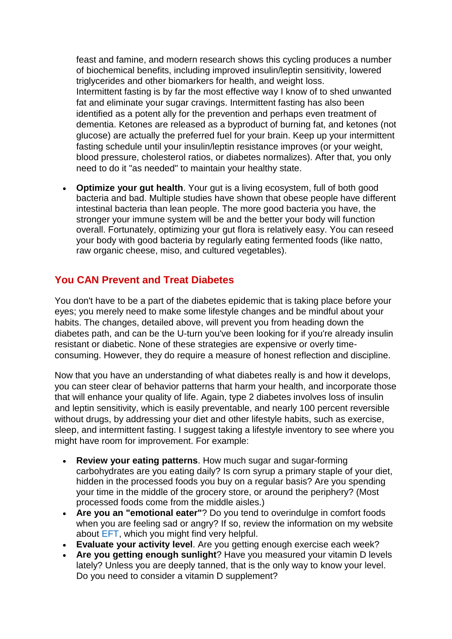feast and famine, and modern research shows this cycling produces a number of biochemical benefits, including improved insulin/leptin sensitivity, lowered triglycerides and other biomarkers for health, and weight loss. Intermittent fasting is by far the most effective way I know of to shed unwanted fat and eliminate your sugar cravings. Intermittent fasting has also been identified as a potent ally for the prevention and perhaps even treatment of dementia. Ketones are released as a byproduct of burning fat, and ketones (not glucose) are actually the preferred fuel for your brain. Keep up your intermittent fasting schedule until your insulin/leptin resistance improves (or your weight, blood pressure, cholesterol ratios, or diabetes normalizes). After that, you only need to do it "as needed" to maintain your healthy state.

 **Optimize your gut health**. Your gut is a living ecosystem, full of both good bacteria and bad. Multiple studies have shown that obese people have different intestinal bacteria than lean people. The more good bacteria you have, the stronger your immune system will be and the better your body will function overall. Fortunately, optimizing your gut flora is relatively easy. You can reseed your body with good bacteria by regularly eating fermented foods (like natto, raw organic cheese, miso, and cultured vegetables).

# **You CAN Prevent and Treat Diabetes**

You don't have to be a part of the diabetes epidemic that is taking place before your eyes; you merely need to make some lifestyle changes and be mindful about your habits. The changes, detailed above, will prevent you from heading down the diabetes path, and can be the U-turn you've been looking for if you're already insulin resistant or diabetic. None of these strategies are expensive or overly timeconsuming. However, they do require a measure of honest reflection and discipline.

Now that you have an understanding of what diabetes really is and how it develops, you can steer clear of behavior patterns that harm your health, and incorporate those that will enhance your quality of life. Again, type 2 diabetes involves loss of insulin and leptin sensitivity, which is easily preventable, and nearly 100 percent reversible without drugs, by addressing your diet and other lifestyle habits, such as exercise, sleep, and intermittent fasting. I suggest taking a lifestyle inventory to see where you might have room for improvement. For example:

- **Review your eating patterns**. How much sugar and sugar-forming carbohydrates are you eating daily? Is corn syrup a primary staple of your diet, hidden in the processed foods you buy on a regular basis? Are you spending your time in the middle of the grocery store, or around the periphery? (Most processed foods come from the middle aisles.)
- **Are you an "emotional eater"**? Do you tend to overindulge in comfort foods when you are feeling sad or angry? If so, review the information on my website about [EFT,](http://articles.mercola.com/sites/articles/archive/2014/05/26/eliminate-junk-food-cravings.aspx) which you might find very helpful.
- **Evaluate your activity level**. Are you getting enough exercise each week?
- **Are you getting enough sunlight**? Have you measured your vitamin D levels lately? Unless you are deeply tanned, that is the only way to know your level. Do you need to consider a vitamin D supplement?